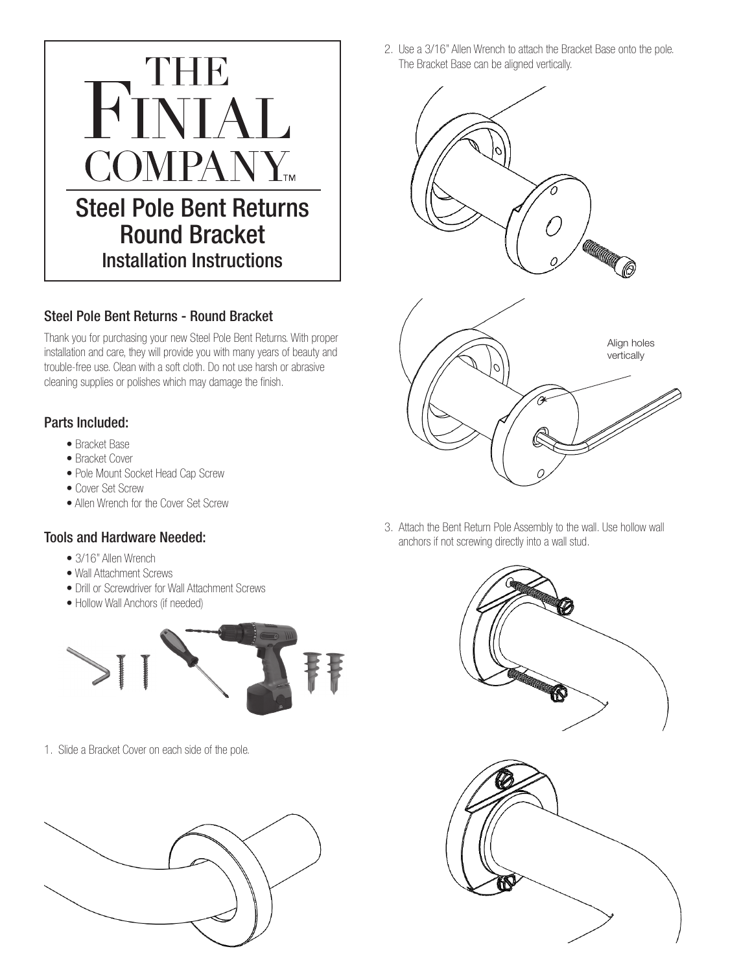

## Steel Pole Bent Returns - Round Bracket

Thank you for purchasing your new Steel Pole Bent Returns. With proper installation and care, they will provide you with many years of beauty and trouble-free use. Clean with a soft cloth. Do not use harsh or abrasive cleaning supplies or polishes which may damage the finish.

## Parts Included:

- Bracket Base
- Bracket Cover
- Pole Mount Socket Head Cap Screw
- Cover Set Screw
- Allen Wrench for the Cover Set Screw

## Tools and Hardware Needed:

- 3/16" Allen Wrench
- Wall Attachment Screws
- Drill or Screwdriver for Wall Attachment Screws
- Hollow Wall Anchors (if needed)



1. Slide a Bracket Cover on each side of the pole.



2. Use a 3/16" Allen Wrench to attach the Bracket Base onto the pole. The Bracket Base can be aligned vertically.



3. Attach the Bent Return Pole Assembly to the wall. Use hollow wall anchors if not screwing directly into a wall stud.